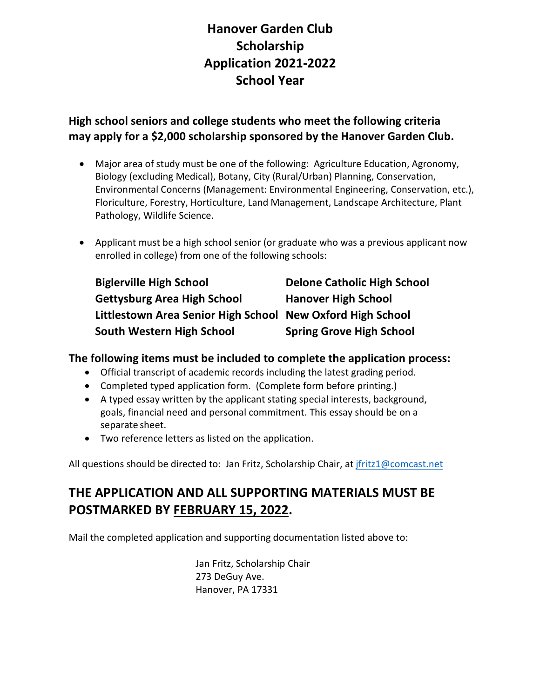# **Hanover Garden Club Scholarship Application 2021-2022 School Year**

### **High school seniors and college students who meet the following criteria may apply for a \$2,000 scholarship sponsored by the Hanover Garden Club.**

- Major area of study must be one of the following: Agriculture Education, Agronomy, Biology (excluding Medical), Botany, City (Rural/Urban) Planning, Conservation, Environmental Concerns (Management: Environmental Engineering, Conservation, etc.), Floriculture, Forestry, Horticulture, Land Management, Landscape Architecture, Plant Pathology, Wildlife Science.
- Applicant must be a high school senior (or graduate who was a previous applicant now enrolled in college) from one of the following schools:

| <b>Biglerville High School</b>                             | <b>Delone Catholic High School</b> |
|------------------------------------------------------------|------------------------------------|
| <b>Gettysburg Area High School</b>                         | <b>Hanover High School</b>         |
| Littlestown Area Senior High School New Oxford High School |                                    |
| South Western High School                                  | <b>Spring Grove High School</b>    |

#### **The following items must be included to complete the application process:**

- Official transcript of academic records including the latest grading period.
- Completed typed application form. (Complete form before printing.)
- A typed essay written by the applicant stating special interests, background, goals, financial need and personal commitment. This essay should be on a separate sheet.
- Two reference letters as listed on the application.

All questions should be directed to: Jan Fritz, Scholarship Chair, a[t jfritz1@comcast.net](mailto:jfritz1@comcast.net)

## **THE APPLICATION AND ALL SUPPORTING MATERIALS MUST BE POSTMARKED BY FEBRUARY 15, 2022.**

Mail the completed application and supporting documentation listed above to:

Jan Fritz, Scholarship Chair 273 DeGuy Ave. Hanover, PA 17331